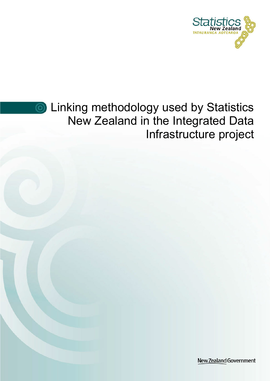



**S** Linking methodology used by Statistics New Zealand in the Integrated Data Infrastructure project

New Zealand Government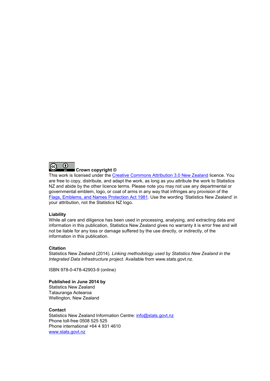

#### Crown copyright ©

This work is licensed under the [Creative Commons Attribution 3.0 New Zealand](http://creativecommons.org/licenses/by/3.0/nz/deed.en) licence. You are free to copy, distribute, and adapt the work, as long as you attribute the work to Statistics NZ and abide by the other licence terms. Please note you may not use any departmental or governmental emblem, logo, or coat of arms in any way that infringes any provision of the [Flags, Emblems, and Names Protection Act 1981.](http://www.legislation.govt.nz/act/public/1981/0047/latest/DLM51358.html) Use the wording 'Statistics New Zealand' in your attribution, not the Statistics NZ logo.

#### Liability

While all care and diligence has been used in processing, analysing, and extracting data and information in this publication, Statistics New Zealand gives no warranty it is error free and will not be liable for any loss or damage suffered by the use directly, or indirectly, of the information in this publication.

#### Citation

Statistics New Zealand (2014). Linking methodology used by Statistics New Zealand in the Integrated Data Infrastructure project. Available from www.stats.govt.nz.

ISBN 978-0-478-42903-9 (online)

#### Published in June 2014 by

Statistics New Zealand Tatauranga Aotearoa Wellington, New Zealand

#### **Contact**

Statistics New Zealand Information Centre: [info@stats.govt.nz](mailto:info@stats.govt.nz) Phone toll-free 0508 525 525 Phone international +64 4 931 4610 [www.stats.govt.nz](http://www.stats.govt.nz/)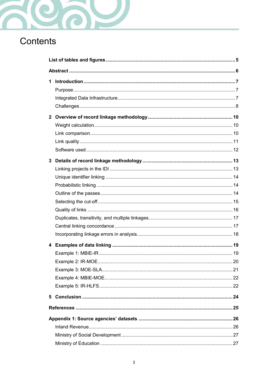

# Contents

| 1.           |  |  |  |  |
|--------------|--|--|--|--|
|              |  |  |  |  |
| $\mathbf{2}$ |  |  |  |  |
|              |  |  |  |  |
|              |  |  |  |  |
|              |  |  |  |  |
|              |  |  |  |  |
| 3            |  |  |  |  |
|              |  |  |  |  |
|              |  |  |  |  |
|              |  |  |  |  |
|              |  |  |  |  |
|              |  |  |  |  |
|              |  |  |  |  |
|              |  |  |  |  |
|              |  |  |  |  |
|              |  |  |  |  |
|              |  |  |  |  |
|              |  |  |  |  |
|              |  |  |  |  |
|              |  |  |  |  |
|              |  |  |  |  |
|              |  |  |  |  |
| 5            |  |  |  |  |
|              |  |  |  |  |
|              |  |  |  |  |
|              |  |  |  |  |
|              |  |  |  |  |
|              |  |  |  |  |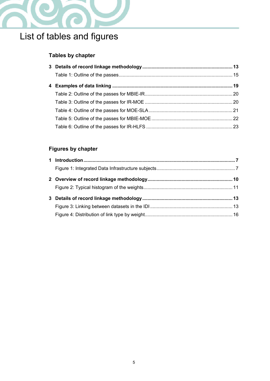

# <span id="page-4-0"></span>List of tables and figures

### Tables by chapter

### Figures by chapter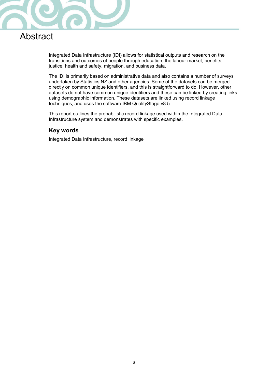

# <span id="page-5-0"></span>Abstract

Integrated Data Infrastructure (IDI) allows for statistical outputs and research on the transitions and outcomes of people through education, the labour market, benefits, justice, health and safety, migration, and business data.

The IDI is primarily based on administrative data and also contains a number of surveys undertaken by Statistics NZ and other agencies. Some of the datasets can be merged directly on common unique identifiers, and this is straightforward to do. However, other datasets do not have common unique identifiers and these can be linked by creating links using demographic information. These datasets are linked using record linkage techniques, and uses the software IBM QualityStage v8.5.

This report outlines the probabilistic record linkage used within the Integrated Data Infrastructure system and demonstrates with specific examples.

### Key words

Integrated Data Infrastructure, record linkage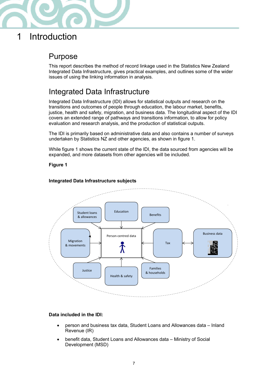

# <span id="page-6-0"></span>1 Introduction

### <span id="page-6-1"></span>Purpose

This report describes the method of record linkage used in the Statistics New Zealand Integrated Data Infrastructure, gives practical examples, and outlines some of the wider issues of using the linking information in analysis.

# <span id="page-6-2"></span>Integrated Data Infrastructure

Integrated Data Infrastructure (IDI) allows for statistical outputs and research on the transitions and outcomes of people through education, the labour market, benefits, justice, health and safety, migration, and business data. The longitudinal aspect of the IDI covers an extended range of pathways and transitions information, to allow for policy evaluation and research analysis, and the production of statistical outputs.

The IDI is primarily based on administrative data and also contains a number of surveys undertaken by Statistics NZ and other agencies, as shown in figure 1.

While figure 1 shows the current state of the IDI, the data sourced from agencies will be expanded, and more datasets from other agencies will be included.

#### Figure 1



#### <span id="page-6-3"></span>Integrated Data Infrastructure subjects

#### Data included in the IDI:

- person and business tax data, Student Loans and Allowances data Inland Revenue (IR)
- benefit data, Student Loans and Allowances data Ministry of Social Development (MSD)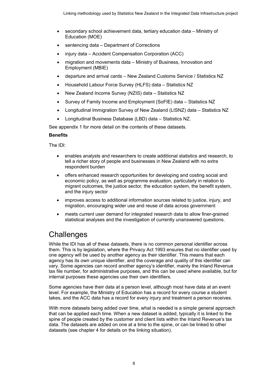- secondary school achievement data, tertiary education data Ministry of Education (MOE)
- sentencing data Department of Corrections
- injury data Accident Compensation Corporation (ACC)
- migration and movements data Ministry of Business, Innovation and Employment (MBIE)
- departure and arrival cards New Zealand Customs Service / Statistics NZ
- Household Labour Force Survey (HLFS) data Statistics NZ
- New Zealand Income Survey (NZIS) data Statistics NZ
- Survey of Family Income and Employment (SoFIE) data Statistics NZ
- Longitudinal Immigration Survey of New Zealand (LISNZ) data Statistics NZ
- Longitudinal Business Database (LBD) data Statistics NZ.

See appendix 1 for more detail on the contents of these datasets.

#### **Benefits**

The IDl:

- enables analysts and researchers to create additional statistics and research, to tell a richer story of people and businesses in New Zealand with no extra respondent burden
- offers enhanced research opportunities for developing and costing social and economic policy, as well as programme evaluation, particularly in relation to migrant outcomes, the justice sector, the education system, the benefit system, and the injury sector
- improves access to additional information sources related to justice, injury, and migration, encouraging wider use and reuse of data across government
- meets current user demand for integrated research data to allow finer-grained statistical analyses and the investigation of currently unanswered questions.

# <span id="page-7-0"></span>**Challenges**

While the IDI has all of these datasets, there is no common personal identifier across them. This is by legislation, where the Privacy Act 1993 ensures that no identifier used by one agency will be used by another agency as their identifier. This means that each agency has its own unique identifier, and the coverage and quality of this identifier can vary. Some agencies can record another agency's identifier, mainly the Inland Revenue tax file number, for administrative purposes, and this can be used where available, but for internal purposes these agencies use their own identifiers.

Some agencies have their data at a person level, although most have data at an event level. For example, the Ministry of Education has a record for every course a student takes, and the ACC data has a record for every injury and treatment a person receives.

With more datasets being added over time, what is needed is a simple general approach that can be applied each time. When a new dataset is added, typically it is linked to the spine of people created by the customer and client lists within the Inland Revenue's tax data. The datasets are added on one at a time to the spine, or can be linked to other datasets (see chapter 4 for details on the linking situation).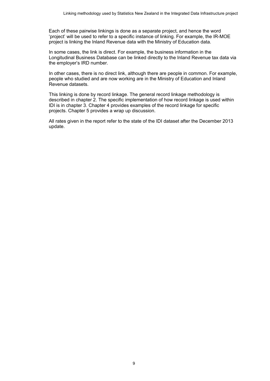Each of these pairwise linkings is done as a separate project, and hence the word 'project' will be used to refer to a specific instance of linking. For example, the IR-MOE project is linking the Inland Revenue data with the Ministry of Education data.

In some cases, the link is direct. For example, the business information in the Longitudinal Business Database can be linked directly to the Inland Revenue tax data via the employer's IRD number.

In other cases, there is no direct link, although there are people in common. For example, people who studied and are now working are in the Ministry of Education and Inland Revenue datasets.

This linking is done by record linkage. The general record linkage methodology is described in chapter 2. The specific implementation of how record linkage is used within IDI is in chapter 3. Chapter 4 provides examples of the record linkage for specific projects. Chapter 5 provides a wrap up discussion.

All rates given in the report refer to the state of the IDI dataset after the December 2013 update.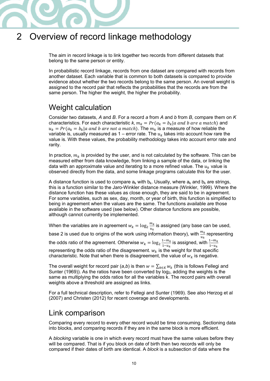

# <span id="page-9-0"></span>2 Overview of record linkage methodology

The aim in record linkage is to link together two records from different datasets that belong to the same person or entity.

In probabilistic record linkage, records from one dataset are compared with records from another dataset. Each variable that is common to both datasets is compared to provide evidence about whether the two records belong to the same person. An overall weight is assigned to the record pair that reflects the probabilities that the records are from the same person. The higher the weight, the higher the probability.

### <span id="page-9-1"></span>Weight calculation

Consider two datasets, A and B. For a record a from A and b from B, compare them on  $K$ characteristics. For each characteristic k,  $m_k = Pr(a_k = b_k | a \text{ and } b \text{ are a match})$  and  $u_k = Pr(a_k = b_k | a \text{ and } b \text{ are not a match}).$  The  $m_k$  is a measure of how reliable the variable is, usually measured as  $1$  – error rate. The  $u_k$  takes into account how rare the value is. With these values, the probability methodology takes into account error rate and rarity.

In practice,  $m_k$  is provided by the user, and is not calculated by the software. This can be measured either from data knowledge, from linking a sample of the data, or linking the data with an approximate value and iterating to a more refined value. The  $u<sub>k</sub>$  value is observed directly from the data, and some linkage programs calculate this for the user.

A distance function is used to compare  $a_k$  with  $b_k$ . Usually, where  $a_k$  and  $b_k$  are strings, this is a function similar to the Jaro-Winkler distance measure (Winkler, 1999). Where the distance function has these values as close enough, they are said to be in agreement. For some variables, such as sex, day, month, or year of birth, this function is simplified to being in agreement when the values are the same. The functions available are those available in the software used (see below). Other distance functions are possible, although cannot currently be implemented.

When the variables are in agreement  $w_k = \log_2 \frac{m_k}{u_k}$  $\frac{m_k}{u_k}$  is assigned (any base can be used,  $\frac{m_k}{u_k}$ base 2 is used due to origins of the work using information theory), with  $\frac{m_k}{u_k}$  representing the odds ratio of the agreement. Otherwise  $w_k = \log_2 \frac{1-m_k}{1-u_k}$  $\frac{1-m_k}{1-u_k}$  is assigned, with  $\frac{1-m_k}{1-u_k}$ representing the odds ratio of the disagreement.  $w_k$  is the weight for that specific characteristic. Note that when there is disagreement, the value of  $w_k$  is negative.

The overall weight for record pair (a,b) is then  $w = \sum_{k \in K} w_k$  (this is follows Fellegi and Sunter (1969)). As the ratios have been converted by  $log<sub>2</sub>$ , adding the weights is the same as multiplying the odds ratios for all the variables k. The record pairs with overall weights above a threshold are assigned as links.

For a full technical description, refer to Fellegi and Sunter (1969). See also Herzog et al (2007) and Christen (2012) for recent coverage and developments.

### <span id="page-9-2"></span>Link comparison

Comparing every record to every other record would be time consuming. Sectioning data into blocks, and comparing records if they are in the same block is more efficient.

A blocking variable is one in which every record must have the same values before they will be compared. That is if you block on date of birth then two records will only be compared if their dates of birth are identical. A block is a subsection of data where the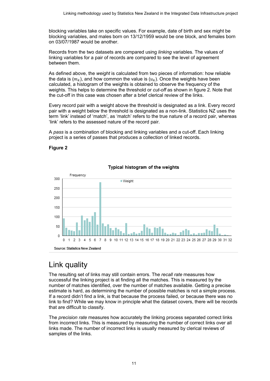blocking variables take on specific values. For example, date of birth and sex might be blocking variables, and males born on 13/12/1959 would be one block, and females born on 03/07/1987 would be another.

Records from the two datasets are compared using linking variables. The values of linking variables for a pair of records are compared to see the level of agreement between them.

As defined above, the weight is calculated from two pieces of information: how reliable the data is  $(m_k)$ , and how common the value is  $(u_k)$ . Once the weights have been calculated, a histogram of the weights is obtained to observe the frequency of the weights. This helps to determine the threshold or *cut-off* as shown in figure 2. Note that the cut-off in this case was chosen after a brief clerical review of the links.

Every record pair with a weight above the threshold is designated as a link. Every record pair with a weight below the threshold is designated as a non-link. Statistics NZ uses the term 'link' instead of 'match', as 'match' refers to the true nature of a record pair, whereas 'link' refers to the assessed nature of the record pair.

A pass is a combination of blocking and linking variables and a cut-off. Each linking project is a series of passes that produces a collection of linked records.

#### <span id="page-10-1"></span>Figure 2



#### Typical histogram of the weights

# <span id="page-10-0"></span>Link quality

The resulting set of links may still contain errors. The recall rate measures how successful the linking project is at finding all the matches. This is measured by the number of matches identified, over the number of matches available. Getting a precise estimate is hard, as determining the number of possible matches is not a simple process. If a record didn't find a link, is that because the process failed, or because there was no link to find? While we may know in principle what the dataset covers, there will be records that are difficult to classify.

The *precision rate* measures how accurately the linking process separated correct links from incorrect links. This is measured by measuring the number of correct links over all links made. The number of incorrect links is usually measured by clerical reviews of samples of the links.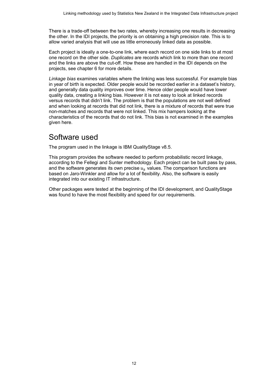There is a trade-off between the two rates, whereby increasing one results in decreasing the other. In the IDI projects, the priority is on obtaining a high precision rate. This is to allow varied analysis that will use as little erroneously linked data as possible.

Each project is ideally a one-to-one link, where each record on one side links to at most one record on the other side. Duplicates are records which link to more than one record and the links are above the cut-off. How these are handled in the IDI depends on the projects, see chapter 6 for more details.

Linkage bias examines variables where the linking was less successful. For example bias in year of birth is expected. Older people would be recorded earlier in a dataset's history, and generally data quality improves over time. Hence older people would have lower quality data, creating a linking bias. However it is not easy to look at linked records versus records that didn't link. The problem is that the populations are not well defined and when looking at records that did not link, there is a mixture of records that were true non-matches and records that were not linked. This mix hampers looking at the characteristics of the records that do not link. This bias is not examined in the examples given here.

### <span id="page-11-0"></span>Software used

The program used in the linkage is IBM QualityStage v8.5.

This program provides the software needed to perform probabilistic record linkage, according to the Fellegi and Sunter methodology. Each project can be built pass by pass, and the software generates its own precise  $u_k$  values. The comparison functions are based on Jaro-Winkler and allow for a lot of flexibility. Also, the software is easily integrated into our existing IT infrastructure.

Other packages were tested at the beginning of the IDI development, and QualityStage was found to have the most flexibility and speed for our requirements.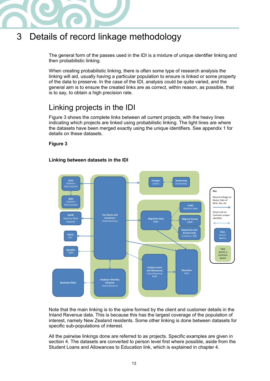

# <span id="page-12-0"></span>3 Details of record linkage methodology

The general form of the passes used in the IDI is a mixture of unique identifier linking and then probabilistic linking.

When creating probabilistic linking, there is often some type of research analysis the linking will aid, usually having a particular population to ensure is linked or some property of the data to preserve. In the case of the IDI, analysis could be quite varied, and the general aim is to ensure the created links are as correct, within reason, as possible, that is to say, to obtain a high precision rate.

# <span id="page-12-1"></span>Linking projects in the IDI

Figure 3 shows the complete links between all current projects, with the heavy lines indicating which projects are linked using probabilistic linking. The light lines are where the datasets have been merged exactly using the unique identifiers. See appendix 1 for details on these datasets.

Figure 3

#### <span id="page-12-2"></span>Linking between datasets in the IDI



Note that the main linking is to the spine formed by the client and customer details in the Inland Revenue data. This is because this has the largest coverage of the population of interest, namely New Zealand residents. Some other linking is done between datasets for specific sub-populations of interest.

All the pairwise linkings done are referred to as projects. Specific examples are given in section 4. The datasets are converted to person level first where possible, aside from the Student Loans and Allowances to Education link, which is explained in chapter 4.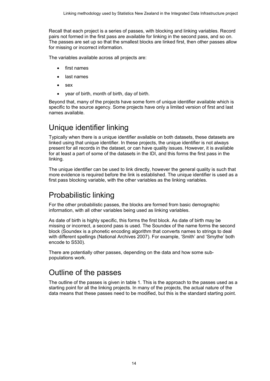Recall that each project is a series of passes, with blocking and linking variables. Record pairs not formed in the first pass are available for linking in the second pass, and so on. The passes are set up so that the smallest blocks are linked first, then other passes allow for missing or incorrect information.

The variables available across all projects are:

- first names
- last names
- sex
- year of birth, month of birth, day of birth.

Beyond that, many of the projects have some form of unique identifier available which is specific to the source agency. Some projects have only a limited version of first and last names available.

### <span id="page-13-0"></span>Unique identifier linking

Typically when there is a unique identifier available on both datasets, these datasets are linked using that unique identifier. In these projects, the unique identifier is not always present for all records in the dataset, or can have quality issues. However, it is available for at least a part of some of the datasets in the IDI, and this forms the first pass in the linking.

The unique identifier can be used to link directly, however the general quality is such that more evidence is required before the link is established. The unique identifier is used as a first pass blocking variable, with the other variables as the linking variables.

# <span id="page-13-1"></span>Probabilistic linking

For the other probabilistic passes, the blocks are formed from basic demographic information, with all other variables being used as linking variables.

As date of birth is highly specific, this forms the first block. As date of birth may be missing or incorrect, a second pass is used. The Soundex of the name forms the second block (Soundex is a phonetic encoding algorithm that converts names to strings to deal with different spellings (National Archives 2007). For example, 'Smith' and 'Smythe' both encode to S530).

There are potentially other passes, depending on the data and how some subpopulations work.

### <span id="page-13-2"></span>Outline of the passes

The outline of the passes is given in table 1. This is the approach to the passes used as a starting point for all the linking projects. In many of the projects, the actual nature of the data means that these passes need to be modified, but this is the standard starting point.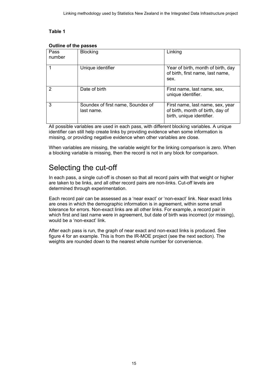#### Table 1

| Pass<br>number | <b>Blocking</b>                                 | Linking                                                                                           |  |
|----------------|-------------------------------------------------|---------------------------------------------------------------------------------------------------|--|
|                | Unique identifier                               | Year of birth, month of birth, day<br>of birth, first name, last name,<br>sex.                    |  |
| 2              | Date of birth                                   | First name, last name, sex,<br>unique identifier.                                                 |  |
| 3              | Soundex of first name, Soundex of<br>last name. | First name, last name, sex, year<br>of birth, month of birth, day of<br>birth, unique identifier. |  |

#### <span id="page-14-1"></span>Outline of the passes

All possible variables are used in each pass, with different blocking variables. A unique identifier can still help create links by providing evidence when some information is missing, or providing negative evidence when other variables are close.

When variables are missing, the variable weight for the linking comparison is zero. When a blocking variable is missing, then the record is not in any block for comparison.

### <span id="page-14-0"></span>Selecting the cut-off

In each pass, a single cut-off is chosen so that all record pairs with that weight or higher are taken to be links, and all other record pairs are non-links. Cut-off levels are determined through experimentation.

Each record pair can be assessed as a 'near exact' or 'non-exact' link. Near exact links are ones in which the demographic information is in agreement, within some small tolerance for errors. Non-exact links are all other links. For example, a record pair in which first and last name were in agreement, but date of birth was incorrect (or missing), would be a 'non-exact' link.

After each pass is run, the graph of near exact and non-exact links is produced. See figure 4 for an example. This is from the IR-MOE project (see the next section). The weights are rounded down to the nearest whole number for convenience.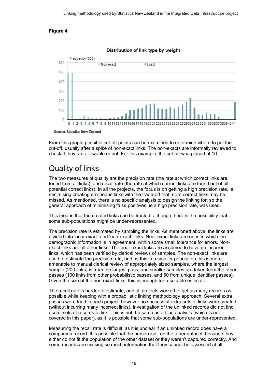#### <span id="page-15-1"></span>Figure 4



Distribution of link type by weight

From this graph, possible cut-off points can be examined to determine where to put the cut-off, usually after a spike of non-exact links. The non-exacts are informally reviewed to check if they are allowable or not. For this example, the cut-off was placed at 16.

# <span id="page-15-0"></span>Quality of links

The two measures of quality are the precision rate (the rate at which correct links are found from all links), and recall rate (the rate at which correct links are found out of all potential correct links). In all the projects, the focus is on getting a high precision rate, ie minimising creating erroneous links with the trade-off that more correct links may be missed. As mentioned, there is no specific analysis to design the linking for, so the general approach of minimising false positives, ie a high precision rate, was used.

This means that the created links can be trusted, although there is the possibility that some sub-populations might be under-represented.

The precision rate is estimated by sampling the links. As mentioned above, the links are divided into 'near exact' and 'non-exact' links. Near exact links are ones in which the demographic information is in agreement, within some small tolerance for errors. Nonexact links are all other links. The near exact links are assumed to have no incorrect links, which has been verified by clerical reviews of samples. The non-exact links are used to estimate the precision rate, and as this is a smaller population this is more amenable to manual clerical review of appropriately sized samples, where the largest sample (200 links) is from the largest pass, and smaller samples are taken from the other passes (100 links from other probabilistic passes, and 50 from unique identifier passes). Given the size of the non-exact links, this is enough for a suitable estimate.

The recall rate is harder to estimate, and all projects worked to get as many records as possible while keeping with a probabilistic linking methodology approach. Several extra passes were tried in each project; however no successful extra sets of links were created (without incurring many incorrect links). Investigation of the unlinked records did not find useful sets of records to link. This is not the same as a bias analysis (which is not covered in this paper), as it is possible that some sub-populations are under-represented.

Measuring the recall rate is difficult, as it is unclear if an unlinked record does have a companion record. It is possible that the person isn't on the other dataset, because they either do not fit the population of the other dataset or they weren't captured correctly. And some records are missing so much information that they cannot be assessed at all.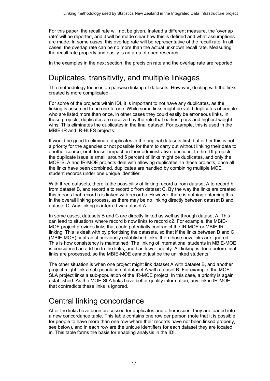For this paper, the recall rate will not be given. Instead a different measure, the 'overlap rate' will be reported, and it will be made clear how this is defined and what assumptions are made. In some cases, this overlap rate will be representative of the recall rate. In all cases, the overlap rate can be no more than the actual unknown recall rate. Measuring the recall rate properly and easily is an area of open research.

In the examples in the next section, the precision rate and the overlap rate are reported.

### <span id="page-16-0"></span>Duplicates, transitivity, and multiple linkages

The methodology focuses on pairwise linking of datasets. However, dealing with the links created is more complicated.

For some of the projects within IDI, it is important to not have any duplicates, as the linking is assumed to be one-to-one. While some links might be valid duplicates of people who are listed more than once, in other cases they could easily be erroneous links. In those projects, duplicates are resolved by the rule that earliest pass and highest weight wins. This eliminates the duplicates in the final dataset. For example, this is used in the MBIE-IR and IR-HLFS projects.

It would be good to eliminate duplicates in the original datasets first, but either this is not a priority for the agencies or not possible for them to carry out without linking their data to another source, or it doesn't impact on their administrative functions. In the IDI projects, the duplicate issue is small; around 5 percent of links might be duplicates, and only the MOE-SLA and IR-MOE projects deal with allowing duplicates. In those projects, once all the links have been combined, duplicates are handled by combining multiple MOE student records under one unique identifier.

With three datasets, there is the possibility of linking record a from dataset A to record b from dataset B, and record a to record c from dataset C. By the way the links are created this means that record b is linked with record c. However, there is nothing enforcing this in the overall linking process, as there may be no linking directly between dataset B and dataset C. Any linking is inferred via dataset A.

In some cases, datasets B and C are directly linked as well as through dataset A. This can lead to situations where record b now links to record c2. For example, the MBIE-MOE project provides links that could potentially contradict the IR-MOE or MBIE-IR linking. This is dealt with by prioritising the datasets, so that if the links between B and C (MBIE-MOE) contradict previously established links, then those new links are ignored. This is how consistency is maintained. The linking of international students in MBIE-MOE is considered an add-on to the links, and has lower priority. All linking is done before final links are processed, so the MBIE-MOE cannot just be the unlinked students.

The other situation is when one project might link dataset A with dataset B, and another project might link a sub-population of dataset A with dataset B. For example, the MOE-SLA project links a sub-population of the IR-MOE project. In this case, a priority is again established. As the MOE-SLA links have better quality information, any link in IR-MOE that contradicts these links is ignored.

# <span id="page-16-1"></span>Central linking concordance

After the links have been processed for duplicates and other issues, they are loaded into a new concordance table. This table contains one row per person (note that it is possible for people to have more than one row where their records have not been linked properly, see below), and in each row are the unique identifiers for each dataset they are located in. This table forms the basis for enabling analysis in the IDI.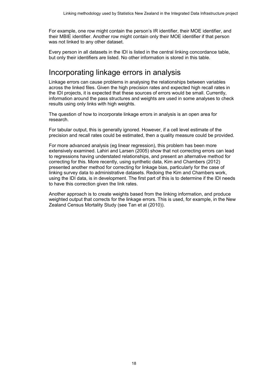For example, one row might contain the person's IR identifier, their MOE identifier, and their MBIE identifier. Another row might contain only their MOE identifier if that person was not linked to any other dataset.

Every person in all datasets in the IDI is listed in the central linking concordance table, but only their identifiers are listed. No other information is stored in this table.

### <span id="page-17-0"></span>Incorporating linkage errors in analysis

Linkage errors can cause problems in analysing the relationships between variables across the linked files. Given the high precision rates and expected high recall rates in the IDI projects, it is expected that these sources of errors would be small. Currently, information around the pass structures and weights are used in some analyses to check results using only links with high weights.

The question of how to incorporate linkage errors in analysis is an open area for research.

For tabular output, this is generally ignored. However, if a cell level estimate of the precision and recall rates could be estimated, then a quality measure could be provided.

For more advanced analysis (eg linear regression), this problem has been more extensively examined. Lahiri and Larsen (2005) show that not correcting errors can lead to regressions having understated relationships, and present an alternative method for correcting for this. More recently, using synthetic data, Kim and Chambers (2012) presented another method for correcting for linkage bias, particularly for the case of linking survey data to administrative datasets. Redoing the Kim and Chambers work, using the IDI data, is in development. The first part of this is to determine if the IDI needs to have this correction given the link rates.

Another approach is to create weights based from the linking information, and produce weighted output that corrects for the linkage errors. This is used, for example, in the New Zealand Census Mortality Study (see Tan et al (2010)).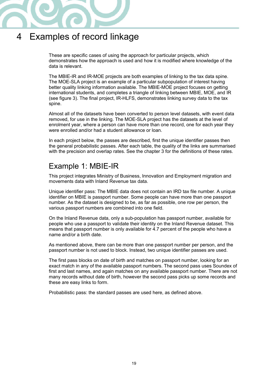

# <span id="page-18-0"></span>4 Examples of record linkage

These are specific cases of using the approach for particular projects, which demonstrates how the approach is used and how it is modified where knowledge of the data is relevant.

The MBIE-IR and IR-MOE projects are both examples of linking to the tax data spine. The MOE-SLA project is an example of a particular subpopulation of interest having better quality linking information available. The MBIE-MOE project focuses on getting international students, and completes a triangle of linking between MBIE, MOE, and IR (see figure 3). The final project, IR-HLFS, demonstrates linking survey data to the tax spine.

Almost all of the datasets have been converted to person level datasets, with event data removed, for use in the linking. The MOE-SLA project has the datasets at the level of enrolment year, where a person can have more than one record, one for each year they were enrolled and/or had a student allowance or loan.

In each project below, the passes are described, first the unique identifier passes then the general probabilistic passes. After each table, the quality of the links are summarised with the precision and overlap rates. See the chapter 3 for the definitions of these rates.

### <span id="page-18-1"></span>Example 1: MBIE-IR

This project integrates Ministry of Business, Innovation and Employment migration and movements data with Inland Revenue tax data.

Unique identifier pass: The MBIE data does not contain an IRD tax file number. A unique identifier on MBIE is passport number. Some people can have more than one passport number. As the dataset is designed to be, as far as possible, one row per person, the various passport numbers are combined into one field.

On the Inland Revenue data, only a sub-population has passport number, available for people who use a passport to validate their identity on the Inland Revenue dataset. This means that passport number is only available for 4.7 percent of the people who have a name and/or a birth date.

As mentioned above, there can be more than one passport number per person, and the passport number is not used to block. Instead, two unique identifier passes are used.

The first pass blocks on date of birth and matches on passport number, looking for an exact match in any of the available passport numbers. The second pass uses Soundex of first and last names, and again matches on any available passport number. There are not many records without date of birth, however the second pass picks up some records and these are easy links to form.

Probabilistic pass: the standard passes are used here, as defined above.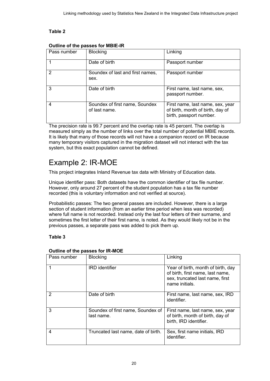#### Table 2

| Pass number | <b>Blocking</b>                                 | Linking                                                                                         |
|-------------|-------------------------------------------------|-------------------------------------------------------------------------------------------------|
|             | Date of birth                                   | Passport number                                                                                 |
| 2           | Soundex of last and first names,<br>sex.        | Passport number                                                                                 |
| 3           | Date of birth                                   | First name, last name, sex,<br>passport number.                                                 |
| 4           | Soundex of first name, Soundex<br>of last name. | First name, last name, sex, year<br>of birth, month of birth, day of<br>birth, passport number. |

#### <span id="page-19-1"></span>Outline of the passes for MBIE-IR

The precision rate is 99.7 percent and the overlap rate is 45 percent. The overlap is measured simply as the number of links over the total number of potential MBIE records. It is likely that many of those records will not have a companion record on IR because many temporary visitors captured in the migration dataset will not interact with the tax system, but this exact population cannot be defined.

### <span id="page-19-0"></span>Example 2: IR-MOE

This project integrates Inland Revenue tax data with Ministry of Education data.

Unique identifier pass: Both datasets have the common identifier of tax file number. However, only around 27 percent of the student population has a tax file number recorded (this is voluntary information and not verified at source).

Probabilistic passes: The two general passes are included. However, there is a large section of student information (from an earlier time period when less was recorded) where full name is not recorded. Instead only the last four letters of their surname, and sometimes the first letter of their first name, is noted. As they would likely not be in the previous passes, a separate pass was added to pick them up.

#### Table 3

| Pass number   | <b>Blocking</b>                                 | Linking                                                                                                                     |
|---------------|-------------------------------------------------|-----------------------------------------------------------------------------------------------------------------------------|
|               | <b>IRD</b> identifier                           | Year of birth, month of birth, day<br>of birth, first name, last name,<br>sex, truncated last name, first<br>name initials. |
| $\mathcal{P}$ | Date of birth                                   | First name, last name, sex, IRD<br>identifier.                                                                              |
| 3             | Soundex of first name, Soundex of<br>last name. | First name, last name, sex, year<br>of birth, month of birth, day of<br>birth, IRD identifier.                              |
| 4             | Truncated last name, date of birth.             | Sex, first name initials, IRD<br>identifier.                                                                                |

#### <span id="page-19-2"></span>Outline of the passes for IR-MOE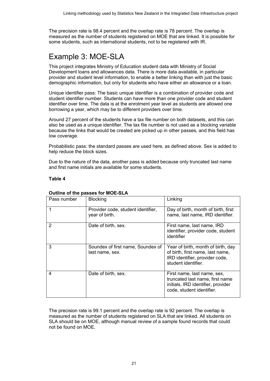The precision rate is 98.4 percent and the overlap rate is 78 percent. The overlap is measured as the number of students registered on MOE that are linked. It is possible for some students, such as international students, not to be registered with IR.

# <span id="page-20-0"></span>Example 3: MOE-SLA

This project integrates Ministry of Education student data with Ministry of Social Development loans and allowances data. There is more data available, in particular provider and student level information, to enable a better linking than with just the basic demographic information, but only for students who have either an allowance or a loan.

Unique identifier pass: The basic unique identifier is a combination of provider code and student identifier number. Students can have more than one provider code and student identifier over time. The data is at the enrolment year level as students are allowed one borrowing a year, which may be to different providers over time.

Around 27 percent of the students have a tax file number on both datasets, and this can also be used as a unique identifier. The tax file number is not used as a blocking variable because the links that would be created are picked up in other passes, and this field has low coverage.

Probabilistic pass: the standard passes are used here, as defined above. Sex is added to help reduce the block sizes.

Due to the nature of the data, another pass is added because only truncated last name and first name initials are available for some students.

#### Table 4

| Pass number   | <b>Blocking</b>                                      | Linking                                                                                                                           |  |  |
|---------------|------------------------------------------------------|-----------------------------------------------------------------------------------------------------------------------------------|--|--|
|               | Provider code, student identifier,<br>year of birth. | Day of birth, month of birth, first<br>name, last name, IRD identifier.                                                           |  |  |
| $\mathcal{P}$ | Date of birth, sex.                                  | First name, last name, IRD<br>identifier, provider code, student<br>identifier                                                    |  |  |
| 3             | Soundex of first name, Soundex of<br>last name, sex. | Year of birth, month of birth, day<br>of birth, first name, last name,<br>IRD identifier, provider code,<br>student identifier.   |  |  |
| 4             | Date of birth, sex.                                  | First name, last name, sex,<br>truncated last name, first name<br>initials, IRD identifier, provider<br>code, student identifier. |  |  |

#### <span id="page-20-1"></span>Outline of the passes for MOE-SLA

The precision rate is 99.1 percent and the overlap rate is 92 percent. The overlap is measured as the number of students registered on SLA that are linked. All students on SLA should be on MOE, although manual review of a sample found records that could not be found on MOE.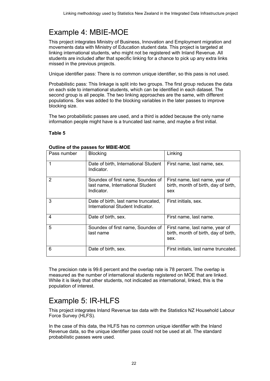# <span id="page-21-0"></span>Example 4: MBIE-MOE

This project integrates Ministry of Business, Innovation and Employment migration and movements data with Ministry of Education student data. This project is targeted at linking international students, who might not be registered with Inland Revenue. All students are included after that specific linking for a chance to pick up any extra links missed in the previous projects.

Unique identifier pass: There is no common unique identifier, so this pass is not used.

Probabilistic pass: This linkage is split into two groups. The first group reduces the data on each side to international students, which can be identified in each dataset. The second group is all people. The two linking approaches are the same, with different populations. Sex was added to the blocking variables in the later passes to improve blocking size.

The two probabilistic passes are used, and a third is added because the only name information people might have is a truncated last name, and maybe a first initial.

#### Table 5

| Pass number | <b>Blocking</b>                                                                     | Linking                                                                        |
|-------------|-------------------------------------------------------------------------------------|--------------------------------------------------------------------------------|
|             | Date of birth, International Student<br>Indicator.                                  | First name, last name, sex.                                                    |
| 2           | Soundex of first name, Soundex of<br>last name, International Student<br>Indicator. | First name, last name, year of<br>birth, month of birth, day of birth,<br>sex  |
| 3           | Date of birth, last name truncated,<br>International Student Indicator.             | First initials, sex.                                                           |
| 4           | Date of birth, sex.                                                                 | First name, last name.                                                         |
| 5           | Soundex of first name, Soundex of<br>last name                                      | First name, last name, year of<br>birth, month of birth, day of birth,<br>sex. |
| 6           | Date of birth, sex.                                                                 | First initials, last name truncated.                                           |

#### <span id="page-21-2"></span>Outline of the passes for MBIE-MOE

The precision rate is 99.6 percent and the overlap rate is 78 percent. The overlap is measured as the number of international students registered on MOE that are linked. While it is likely that other students, not indicated as international, linked, this is the population of interest.

### <span id="page-21-1"></span>Example 5: IR-HLFS

This project integrates Inland Revenue tax data with the Statistics NZ Household Labour Force Survey (HLFS).

In the case of this data, the HLFS has no common unique identifier with the Inland Revenue data, so the unique identifier pass could not be used at all. The standard probabilistic passes were used.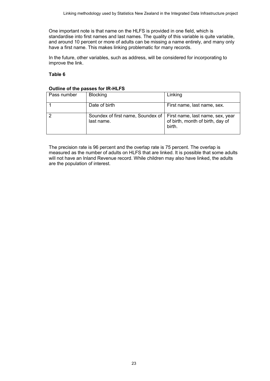One important note is that name on the HLFS is provided in one field, which is standardise into first names and last names. The quality of this variable is quite variable, and around 10 percent or more of adults can be missing a name entirely, and many only have a first name. This makes linking problematic for many records.

In the future, other variables, such as address, will be considered for incorporating to improve the link.

#### Table 6

#### <span id="page-22-0"></span>Outline of the passes for IR-HLFS

| Pass number | <b>Blocking</b>                                   | Linking                                                                        |
|-------------|---------------------------------------------------|--------------------------------------------------------------------------------|
|             | Date of birth                                     | First name, last name, sex.                                                    |
| 2           | Soundex of first name, Soundex of  <br>last name. | First name, last name, sex, year<br>of birth, month of birth, day of<br>birth. |

The precision rate is 96 percent and the overlap rate is 75 percent. The overlap is measured as the number of adults on HLFS that are linked. It is possible that some adults will not have an Inland Revenue record. While children may also have linked, the adults are the population of interest.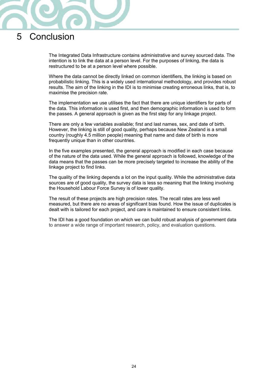

# <span id="page-23-0"></span>5 Conclusion

The Integrated Data Infrastructure contains administrative and survey sourced data. The intention is to link the data at a person level. For the purposes of linking, the data is restructured to be at a person level where possible.

Where the data cannot be directly linked on common identifiers, the linking is based on probabilistic linking. This is a widely used international methodology, and provides robust results. The aim of the linking in the IDI is to minimise creating erroneous links, that is, to maximise the precision rate.

The implementation we use utilises the fact that there are unique identifiers for parts of the data. This information is used first, and then demographic information is used to form the passes. A general approach is given as the first step for any linkage project.

There are only a few variables available; first and last names, sex, and date of birth. However, the linking is still of good quality, perhaps because New Zealand is a small country (roughly 4.5 million people) meaning that name and date of birth is more frequently unique than in other countries.

In the five examples presented, the general approach is modified in each case because of the nature of the data used. While the general approach is followed, knowledge of the data means that the passes can be more precisely targeted to increase the ability of the linkage project to find links.

The quality of the linking depends a lot on the input quality. While the administrative data sources are of good quality, the survey data is less so meaning that the linking involving the Household Labour Force Survey is of lower quality.

The result of these projects are high precision rates. The recall rates are less well measured, but there are no areas of significant bias found. How the issue of duplicates is dealt with is tailored for each project, and care is maintained to ensure consistent links.

The IDI has a good foundation on which we can build robust analysis of government data to answer a wide range of important research, policy, and evaluation questions.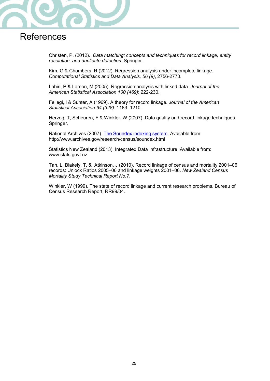

# <span id="page-24-0"></span>**References**

Christen, P. (2012). Data matching: concepts and techniques for record linkage, entity resolution, and duplicate detection. Springer.

Kim, G & Chambers, R (2012). Regression analysis under incomplete linkage. Computational Statistics and Data Analysis, 56 (9), 2756-2770.

Lahiri, P & Larsen, M (2005). Regression analysis with linked data. Journal of the American Statistical Association 100 (469): 222-230.

Fellegi, I & Sunter, A (1969). A theory for record linkage. Journal of the American Statistical Association 64 (328): 1183–1210.

Herzog, T, Scheuren, F & Winkler, W (2007). Data quality and record linkage techniques. Springer.

National Archives (2007). [The Soundex indexing system.](http://www.archives.gov/research/census/soundex.html) Available from: <http://www.archives.gov/research/census/soundex.html>

Statistics New Zealand (2013). Integrated Data Infrastructure. Available from: [www.stats.govt.nz](http://www.stats.govt.nz/)

Tan, L, Blakely, T, & Atkinson, J (2010). Record linkage of census and mortality 2001–06 records: Unlock Ratios 2005–06 and linkage weights 2001–06. New Zealand Census Mortality Study Technical Report No.7.

Winkler, W (1999). The state of record linkage and current research problems. Bureau of Census Research Report, RR99/04.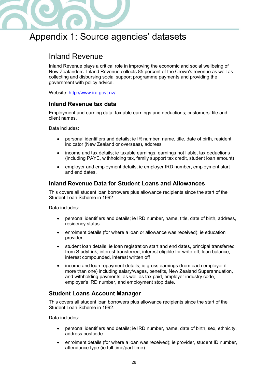

# <span id="page-25-0"></span>Appendix 1: Source agencies' datasets

### <span id="page-25-1"></span>Inland Revenue

Inland Revenue plays a critical role in improving the economic and social wellbeing of New Zealanders. Inland Revenue collects 85 percent of the Crown's revenue as well as collecting and disbursing social support programme payments and providing the government with policy advice.

Website:<http://www.ird.govt.nz/>

#### Inland Revenue tax data

Employment and earning data; tax able earnings and deductions; customers' file and client names.

Data includes:

- personal identifiers and details; ie IR number, name, title, date of birth, resident indicator (New Zealand or overseas), address
- income and tax details; ie taxable earnings, earnings not liable, tax deductions (including PAYE, withholding tax, family support tax credit, student loan amount)
- employer and employment details; ie employer IRD number, employment start and end dates.

#### Inland Revenue Data for Student Loans and Allowances

This covers all student loan borrowers plus allowance recipients since the start of the Student Loan Scheme in 1992.

Data includes:

- personal identifiers and details; ie IRD number, name, title, date of birth, address, residency status
- enrolment details (for where a loan or allowance was received); ie education provider
- student loan details; ie loan registration start and end dates, principal transferred from StudyLink, interest transferred, interest eligible for write-off, loan balance, interest compounded, interest written off
- income and loan repayment details; ie gross earnings (from each employer if more than one) including salary/wages, benefits, New Zealand Superannuation, and withholding payments, as well as tax paid, employer industry code, employer's IRD number, and employment stop date.

### Student Loans Account Manager

This covers all student loan borrowers plus allowance recipients since the start of the Student Loan Scheme in 1992.

Data includes:

- personal identifiers and details; ie IRD number, name, date of birth, sex, ethnicity, address postcode
- enrolment details (for where a loan was received); ie provider, student ID number, attendance type (ie full time/part time)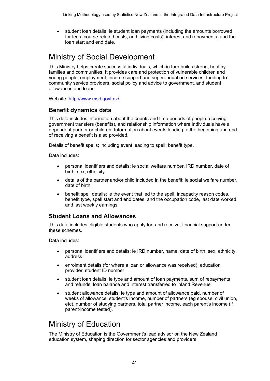• student loan details; ie student loan payments (including the amounts borrowed for fees, course-related costs, and living costs), interest and repayments, and the loan start and end date.

# <span id="page-26-0"></span>Ministry of Social Development

This Ministry helps create successful individuals, which in turn builds strong, healthy families and communities. It provides care and protection of vulnerable children and young people, employment, income support and superannuation services, funding to community service providers, social policy and advice to government, and student allowances and loans.

Website:<http://www.msd.govt.nz/>

#### Benefit dynamics data

This data includes information about the counts and time periods of people receiving government transfers (benefits), and relationship information where individuals have a dependent partner or children. Information about events leading to the beginning and end of receiving a benefit is also provided.

Details of benefit spells; including event leading to spell; benefit type.

Data includes:

- personal identifiers and details; ie social welfare number, IRD number, date of birth, sex, ethnicity
- details of the partner and/or child included in the benefit; ie social welfare number, date of birth
- benefit spell details; ie the event that led to the spell, incapacity reason codes, benefit type, spell start and end dates, and the occupation code, last date worked, and last weekly earnings.

### Student Loans and Allowances

This data includes eligible students who apply for, and receive, financial support under these schemes.

Data includes:

- personal identifiers and details; ie IRD number, name, date of birth, sex, ethnicity, address
- enrolment details (for where a loan or allowance was received); education provider, student ID number
- student loan details; ie type and amount of loan payments, sum of repayments and refunds, loan balance and interest transferred to Inland Revenue
- student allowance details; ie type and amount of allowance paid, number of weeks of allowance, student's income, number of partners (eg spouse, civil union, etc), number of studying partners, total partner income, each parent's income (if parent-income tested).

### <span id="page-26-1"></span>Ministry of Education

The Ministry of Education is the Government's lead advisor on the New Zealand education system, shaping direction for sector agencies and providers.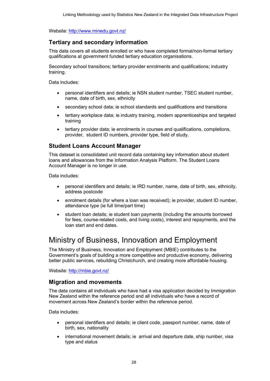Website:<http://www.minedu.govt.nz/>

#### Tertiary and secondary information

This data covers all students enrolled or who have completed formal/non-formal tertiary qualifications at government funded tertiary education organisations.

Secondary school transitions; tertiary provider enrolments and qualifications; industry training.

Data includes:

- personal identifiers and details; ie NSN student number, TSEC student number, name, date of birth, sex, ethnicity
- secondary school data; ie school standards and qualifications and transitions
- tertiary workplace data; ie industry training, modern apprenticeships and targeted training
- tertiary provider data; ie enrolments in courses and qualifications, completions, provider, student ID numbers, provider type, field of study.

#### Student Loans Account Manager

This dataset is consolidated unit record data containing key information about student loans and allowances from the Information Analysis Platform. The Student Loans Account Manager is no longer in use.

Data includes:

- personal identifiers and details; ie IRD number, name, date of birth, sex, ethnicity, address postcode
- enrolment details (for where a loan was received); ie provider, student ID number, attendance type (ie full time/part time)
- student loan details; ie student loan payments (including the amounts borrowed for fees, course-related costs, and living costs), interest and repayments, and the loan start and end dates.

### <span id="page-27-0"></span>Ministry of Business, Innovation and Employment

The Ministry of Business, Innovation and Employment (MBIE) contributes to the Government's goals of building a more competitive and productive economy, delivering better public services, rebuilding Christchurch, and creating more affordable housing.

Website:<http://mbie.govt.nz/>

#### Migration and movements

The data contains all individuals who have had a visa application decided by Immigration New Zealand within the reference period and all individuals who have a record of movement across New Zealand's border within the reference period.

Data includes:

- personal identifiers and details; ie client code, passport number, name, date of birth, sex, nationality
- international movement details; ie arrival and departure date, ship number, visa type and status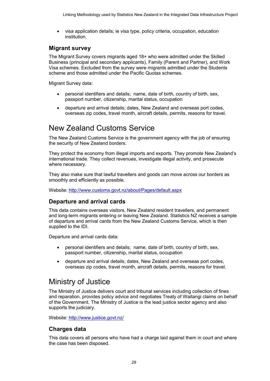• visa application details; ie visa type, policy criteria, occupation, education institution.

#### Migrant survey

The Migrant Survey covers migrants aged 18+ who were admitted under the Skilled Business (principal and secondary applicants), Family (Parent and Partner), and Work Visa schemes. Excluded from the survey were migrants admitted under the Students scheme and those admitted under the Pacific Quotas schemes.

Migrant Survey data:

- personal identifiers and details; name, date of birth, country of birth, sex, passport number, citizenship, marital status, occupation
- departure and arrival details; dates, New Zealand and overseas port codes, overseas zip codes, travel month, aircraft details, permits, reasons for travel.

### <span id="page-28-0"></span>New Zealand Customs Service

The New Zealand Customs Service is the government agency with the job of ensuring the security of New Zealand borders.

They protect the economy from illegal imports and exports. They promote New Zealand's international trade. They collect revenues, investigate illegal activity, and prosecute where necessary.

They also make sure that lawful travellers and goods can move across our borders as smoothly and efficiently as possible.

Website:<http://www.customs.govt.nz/about/Pages/default.aspx>

### Departure and arrival cards

This data contains overseas visitors, New Zealand resident travellers, and permanent and long-term migrants entering or leaving New Zealand. Statistics NZ receives a sample of departure and arrival cards from the New Zealand Customs Service, which is then supplied to the IDI.

Departure and arrival cards data:

- personal identifiers and details; name, date of birth, country of birth, sex, passport number, citizenship, marital status, occupation
- departure and arrival details; dates, New Zealand and overseas port codes, overseas zip codes, travel month, aircraft details, permits, reasons for travel.

### <span id="page-28-1"></span>Ministry of Justice

The Ministry of Justice delivers court and tribunal services including collection of fines and reparation, provides policy advice and negotiates Treaty of Waitangi claims on behalf of the Government. The Ministry of Justice is the lead justice sector agency and also supports the judiciary.

Website:<http://www.justice.govt.nz/>

### Charges data

This data covers all persons who have had a charge laid against them in court and where the case has been disposed.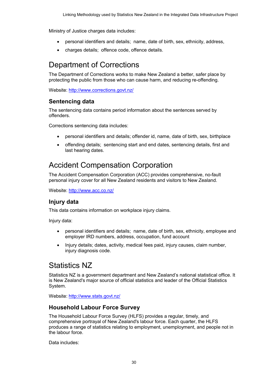Ministry of Justice charges data includes:

- personal identifiers and details; name, date of birth, sex, ethnicity, address,
- charges details; offence code, offence details.

### <span id="page-29-0"></span>Department of Corrections

The Department of Corrections works to make New Zealand a better, safer place by protecting the public from those who can cause harm, and reducing re-offending.

Website:<http://www.corrections.govt.nz/>

### Sentencing data

The sentencing data contains period information about the sentences served by offenders.

Corrections sentencing data includes:

- personal identifiers and details; offender id, name, date of birth, sex, birthplace
- offending details; sentencing start and end dates, sentencing details, first and last hearing dates.

# <span id="page-29-1"></span>Accident Compensation Corporation

The Accident Compensation Corporation (ACC) provides comprehensive, no-fault personal injury cover for all New Zealand residents and visitors to New Zealand.

Website:<http://www.acc.co.nz/>

### Injury data

This data contains information on workplace injury claims.

Injury data:

- personal identifiers and details; name, date of birth, sex, ethnicity, employee and employer IRD numbers, address, occupation, fund account
- Injury details; dates, activity, medical fees paid, injury causes, claim number, injury diagnosis code.

### <span id="page-29-2"></span>Statistics NZ

Statistics NZ is a government department and New Zealand's national statistical office. It is New Zealand's major source of official statistics and leader of the Official Statistics System.

Website:<http://www.stats.govt.nz/>

### Household Labour Force Survey

The Household Labour Force Survey (HLFS) provides a regular, timely, and comprehensive portrayal of New Zealand's labour force. Each quarter, the HLFS produces a range of statistics relating to employment, unemployment, and people not in the labour force.

Data includes: